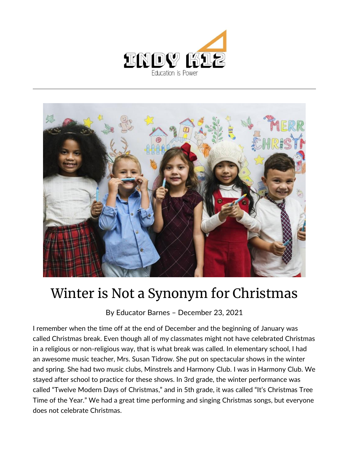



## Winter is Not a Synonym for Christmas

By [Educator Barnes](https://indy.education/author/shicole/) – December 23, 2021

I remember when the time off at the end of December and the beginning of January was called Christmas break. Even though all of my classmates might not have celebrated Christmas in a religious or non-religious way, that is what break was called. In elementary school, I had an awesome music teacher, Mrs. Susan Tidrow. She put on spectacular shows in the winter and spring. She had two music clubs, Minstrels and Harmony Club. I was in Harmony Club. We stayed after school to practice for these shows. In 3rd grade, the winter performance was called "Twelve Modern Days of Christmas," and in 5th grade, it was called "It's Christmas Tree Time of the Year." We had a great time performing and singing Christmas songs, but everyone does not celebrate Christmas.